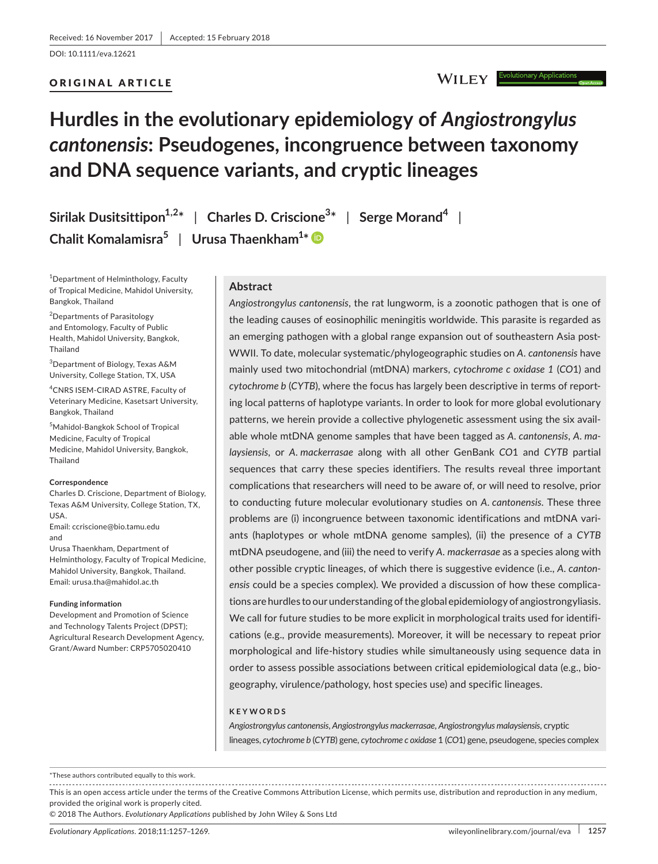DOI: 10.1111/eva.12621

## ORIGINAL ARTICLE

## **WILEY**

# **Hurdles in the evolutionary epidemiology of** *Angiostrongylus cantonensis***: Pseudogenes, incongruence between taxonomy and DNA sequence variants, and cryptic lineages**

**Sirilak Dusitsittipon1,2\*** | **Charles D. Criscione<sup>3</sup> \*** | **Serge Morand<sup>4</sup>** | **Chalit Komalamisra<sup>5</sup>** | **Urusa Thaenkham<sup>1</sup> \***

1 Department of Helminthology, Faculty of Tropical Medicine, Mahidol University, Bangkok, Thailand

2 Departments of Parasitology and Entomology, Faculty of Public Health, Mahidol University, Bangkok, Thailand

3 Department of Biology, Texas A&M University, College Station, TX, USA

4 CNRS ISEM-CIRAD ASTRE, Faculty of Veterinary Medicine, Kasetsart University, Bangkok, Thailand

5 Mahidol-Bangkok School of Tropical Medicine, Faculty of Tropical Medicine, Mahidol University, Bangkok, Thailand

#### **Correspondence**

Charles D. Criscione, Department of Biology, Texas A&M University, College Station, TX, USA. Email: [ccriscione@bio.tamu.edu](mailto:ccriscione@bio.tamu.edu)

and

Urusa Thaenkham, Department of Helminthology, Faculty of Tropical Medicine, Mahidol University, Bangkok, Thailand. Email: [urusa.tha@mahidol.ac.th](mailto:urusa.tha@mahidol.ac.th)

#### **Funding information**

Development and Promotion of Science and Technology Talents Project (DPST); Agricultural Research Development Agency, Grant/Award Number: CRP5705020410

#### **Abstract**

*Angiostrongylus cantonensis*, the rat lungworm, is a zoonotic pathogen that is one of the leading causes of eosinophilic meningitis worldwide. This parasite is regarded as an emerging pathogen with a global range expansion out of southeastern Asia post-WWII. To date, molecular systematic/phylogeographic studies on *A. cantonensis* have mainly used two mitochondrial (mtDNA) markers, *cytochrome c oxidase 1* (*CO*1) and *cytochrome b* (*CYTB*), where the focus has largely been descriptive in terms of reporting local patterns of haplotype variants. In order to look for more global evolutionary patterns, we herein provide a collective phylogenetic assessment using the six available whole mtDNA genome samples that have been tagged as *A. cantonensis*, *A. malaysiensis*, or *A. mackerrasae* along with all other GenBank *CO*1 and *CYTB* partial sequences that carry these species identifiers. The results reveal three important complications that researchers will need to be aware of, or will need to resolve, prior to conducting future molecular evolutionary studies on *A. cantonensis*. These three problems are (i) incongruence between taxonomic identifications and mtDNA variants (haplotypes or whole mtDNA genome samples), (ii) the presence of a *CYTB* mtDNA pseudogene, and (iii) the need to verify *A. mackerrasae* as a species along with other possible cryptic lineages, of which there is suggestive evidence (i.e., *A. cantonensis* could be a species complex). We provided a discussion of how these complications are hurdles to our understanding ofthe global epidemiology of angiostrongyliasis. We call for future studies to be more explicit in morphological traits used for identifications (e.g., provide measurements). Moreover, it will be necessary to repeat prior morphological and life-history studies while simultaneously using sequence data in order to assess possible associations between critical epidemiological data (e.g., biogeography, virulence/pathology, host species use) and specific lineages.

#### **KEYWORDS**

*Angiostrongylus cantonensis*, *Angiostrongylus mackerrasae*, *Angiostrongylus malaysiensis*, cryptic lineages, *cytochrome b* (*CYTB*) gene, *cytochrome c oxidase* 1 (*CO*1) gene, pseudogene, species complex

\*These authors contributed equally to this work.

This is an open access article under the terms of the Creative Commons [Attribution](http://creativecommons.org/licenses/by/4.0/) License, which permits use, distribution and reproduction in any medium, provided the original work is properly cited.

© 2018 The Authors. *Evolutionary Applications* published by John Wiley & Sons Ltd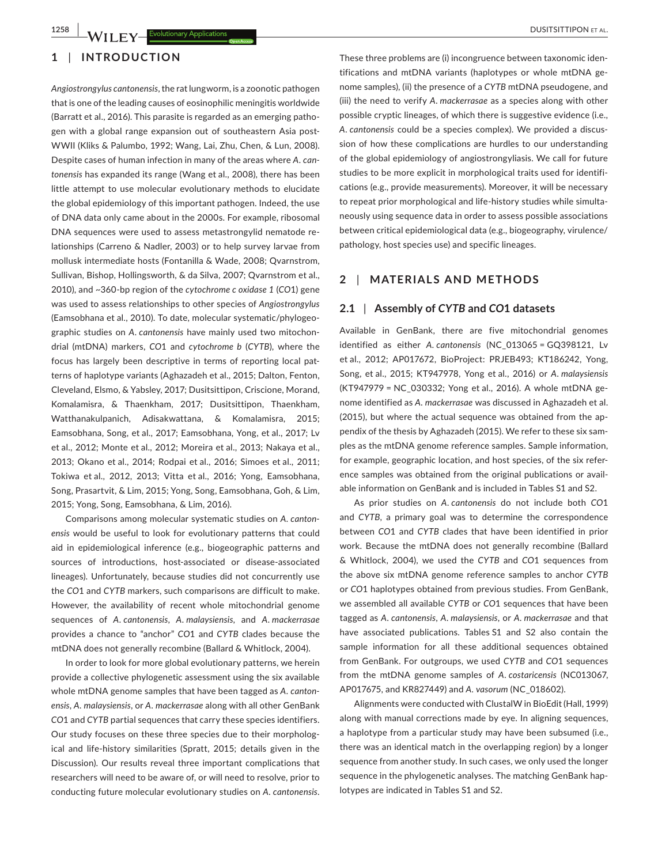**1258 WILEY Evolutionary Applications** 

## **1** | **INTRODUCTION**

*Angiostrongylus cantonensis*, the rat lungworm, is a zoonotic pathogen that is one of the leading causes of eosinophilic meningitis worldwide (Barratt et al., 2016). This parasite is regarded as an emerging pathogen with a global range expansion out of southeastern Asia post-WWII (Kliks & Palumbo, 1992; Wang, Lai, Zhu, Chen, & Lun, 2008). Despite cases of human infection in many of the areas where *A. cantonensis* has expanded its range (Wang et al., 2008), there has been little attempt to use molecular evolutionary methods to elucidate the global epidemiology of this important pathogen. Indeed, the use of DNA data only came about in the 2000s. For example, ribosomal DNA sequences were used to assess metastrongylid nematode relationships (Carreno & Nadler, 2003) or to help survey larvae from mollusk intermediate hosts (Fontanilla & Wade, 2008; Qvarnstrom, Sullivan, Bishop, Hollingsworth, & da Silva, 2007; Qvarnstrom et al., 2010), and ~360-bp region of the *cytochrome c oxidase 1* (*CO*1) gene was used to assess relationships to other species of *Angiostrongylus* (Eamsobhana et al., 2010). To date, molecular systematic/phylogeographic studies on *A. cantonensis* have mainly used two mitochondrial (mtDNA) markers, *CO*1 and *cytochrome b* (*CYTB*), where the focus has largely been descriptive in terms of reporting local patterns of haplotype variants (Aghazadeh et al., 2015; Dalton, Fenton, Cleveland, Elsmo, & Yabsley, 2017; Dusitsittipon, Criscione, Morand, Komalamisra, & Thaenkham, 2017; Dusitsittipon, Thaenkham, Watthanakulpanich, Adisakwattana, & Komalamisra, 2015; Eamsobhana, Song, et al., 2017; Eamsobhana, Yong, et al., 2017; Lv et al., 2012; Monte et al., 2012; Moreira et al., 2013; Nakaya et al., 2013; Okano et al., 2014; Rodpai et al., 2016; Simoes et al., 2011; Tokiwa et al., 2012, 2013; Vitta et al., 2016; Yong, Eamsobhana, Song, Prasartvit, & Lim, 2015; Yong, Song, Eamsobhana, Goh, & Lim, 2015; Yong, Song, Eamsobhana, & Lim, 2016).

Comparisons among molecular systematic studies on *A. cantonensis* would be useful to look for evolutionary patterns that could aid in epidemiological inference (e.g., biogeographic patterns and sources of introductions, host-associated or disease-associated lineages). Unfortunately, because studies did not concurrently use the *CO*1 and *CYTB* markers, such comparisons are difficult to make. However, the availability of recent whole mitochondrial genome sequences of *A. cantonensis*, *A. malaysiensis*, and *A. mackerrasae* provides a chance to "anchor" *CO*1 and *CYTB* clades because the mtDNA does not generally recombine (Ballard & Whitlock, 2004).

In order to look for more global evolutionary patterns, we herein provide a collective phylogenetic assessment using the six available whole mtDNA genome samples that have been tagged as *A. cantonensis*, *A. malaysiensis*, or *A. mackerrasae* along with all other GenBank *CO*1 and *CYTB* partial sequences that carry these species identifiers. Our study focuses on these three species due to their morphological and life-history similarities (Spratt, 2015; details given in the Discussion). Our results reveal three important complications that researchers will need to be aware of, or will need to resolve, prior to conducting future molecular evolutionary studies on *A. cantonensis*.

These three problems are (i) incongruence between taxonomic identifications and mtDNA variants (haplotypes or whole mtDNA genome samples), (ii) the presence of a *CYTB* mtDNA pseudogene, and (iii) the need to verify *A. mackerrasae* as a species along with other possible cryptic lineages, of which there is suggestive evidence (i.e., *A. cantonensis* could be a species complex). We provided a discussion of how these complications are hurdles to our understanding of the global epidemiology of angiostrongyliasis. We call for future studies to be more explicit in morphological traits used for identifications (e.g., provide measurements). Moreover, it will be necessary to repeat prior morphological and life-history studies while simultaneously using sequence data in order to assess possible associations between critical epidemiological data (e.g., biogeography, virulence/ pathology, host species use) and specific lineages.

## **2** | **MATERIALS AND METHODS**

#### **2.1** | **Assembly of** *CYTB* **and** *CO***1 datasets**

Available in GenBank, there are five mitochondrial genomes identified as either *A. cantonensis* (NC\_013065 = GQ398121, Lv et al., 2012; AP017672, BioProject: PRJEB493; KT186242, Yong, Song, et al., 2015; KT947978, Yong et al., 2016) or *A. malaysiensis* (KT947979 = NC\_030332; Yong et al., 2016). A whole mtDNA genome identified as *A. mackerrasae* was discussed in Aghazadeh et al. (2015), but where the actual sequence was obtained from the appendix of the thesis by Aghazadeh (2015). We refer to these six samples as the mtDNA genome reference samples. Sample information, for example, geographic location, and host species, of the six reference samples was obtained from the original publications or available information on GenBank and is included in Tables S1 and S2.

As prior studies on *A. cantonensis* do not include both *CO*1 and *CYTB*, a primary goal was to determine the correspondence between *CO*1 and *CYTB* clades that have been identified in prior work. Because the mtDNA does not generally recombine (Ballard & Whitlock, 2004), we used the *CYTB* and *CO*1 sequences from the above six mtDNA genome reference samples to anchor *CYTB* or *CO*1 haplotypes obtained from previous studies. From GenBank, we assembled all available *CYTB* or *CO*1 sequences that have been tagged as *A. cantonensis*, *A. malaysiensis*, or *A. mackerrasae* and that have associated publications. Tables S1 and S2 also contain the sample information for all these additional sequences obtained from GenBank. For outgroups, we used *CYTB* and *CO*1 sequences from the mtDNA genome samples of *A. costaricensis* (NC013067, AP017675, and KR827449) and *A. vasorum* (NC\_018602).

Alignments were conducted with ClustalW in BioEdit (Hall, 1999) along with manual corrections made by eye. In aligning sequences, a haplotype from a particular study may have been subsumed (i.e., there was an identical match in the overlapping region) by a longer sequence from another study. In such cases, we only used the longer sequence in the phylogenetic analyses. The matching GenBank haplotypes are indicated in Tables S1 and S2.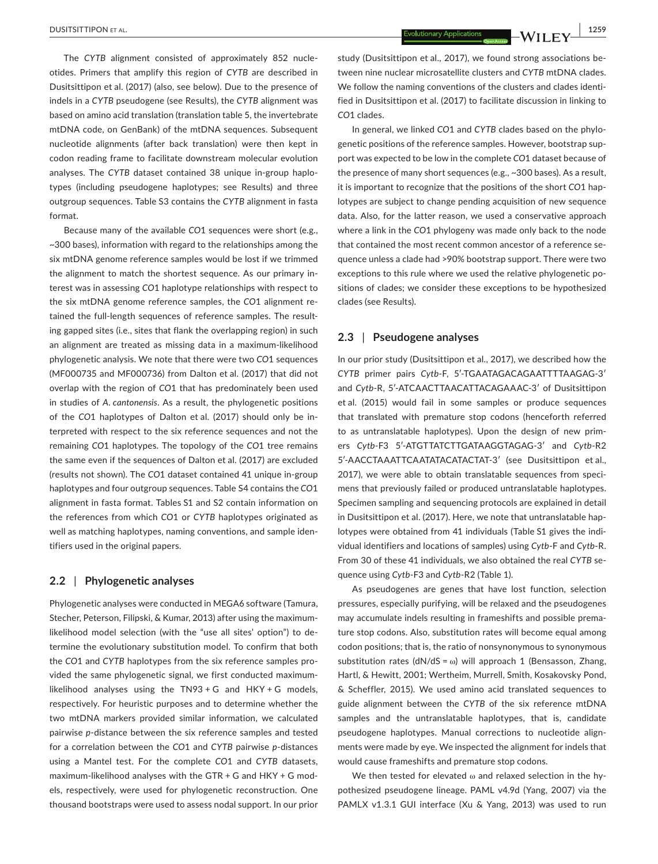The *CYTB* alignment consisted of approximately 852 nucleotides. Primers that amplify this region of *CYTB* are described in Dusitsittipon et al. (2017) (also, see below). Due to the presence of indels in a *CYTB* pseudogene (see Results), the *CYTB* alignment was based on amino acid translation (translation table 5, the invertebrate mtDNA code, on GenBank) of the mtDNA sequences. Subsequent nucleotide alignments (after back translation) were then kept in codon reading frame to facilitate downstream molecular evolution analyses. The *CYTB* dataset contained 38 unique in-group haplotypes (including pseudogene haplotypes; see Results) and three outgroup sequences. Table S3 contains the *CYTB* alignment in fasta format.

Because many of the available *CO*1 sequences were short (e.g., ~300 bases), information with regard to the relationships among the six mtDNA genome reference samples would be lost if we trimmed the alignment to match the shortest sequence. As our primary interest was in assessing *CO*1 haplotype relationships with respect to the six mtDNA genome reference samples, the *CO*1 alignment retained the full-length sequences of reference samples. The resulting gapped sites (i.e., sites that flank the overlapping region) in such an alignment are treated as missing data in a maximum-likelihood phylogenetic analysis. We note that there were two *CO*1 sequences (MF000735 and MF000736) from Dalton et al. (2017) that did not overlap with the region of *CO*1 that has predominately been used in studies of *A. cantonensis*. As a result, the phylogenetic positions of the *CO*1 haplotypes of Dalton et al. (2017) should only be interpreted with respect to the six reference sequences and not the remaining *CO*1 haplotypes. The topology of the *CO*1 tree remains the same even if the sequences of Dalton et al. (2017) are excluded (results not shown). The *CO*1 dataset contained 41 unique in-group haplotypes and four outgroup sequences. Table S4 contains the *CO*1 alignment in fasta format. Tables S1 and S2 contain information on the references from which *CO*1 or *CYTB* haplotypes originated as well as matching haplotypes, naming conventions, and sample identifiers used in the original papers.

## **2.2** | **Phylogenetic analyses**

Phylogenetic analyses were conducted in MEGA6 software (Tamura, Stecher, Peterson, Filipski, & Kumar, 2013) after using the maximumlikelihood model selection (with the "use all sites' option") to determine the evolutionary substitution model. To confirm that both the *CO*1 and *CYTB* haplotypes from the six reference samples provided the same phylogenetic signal, we first conducted maximumlikelihood analyses using the TN93 + G and HKY + G models, respectively. For heuristic purposes and to determine whether the two mtDNA markers provided similar information, we calculated pairwise *p*-distance between the six reference samples and tested for a correlation between the *CO*1 and *CYTB* pairwise *p*-distances using a Mantel test. For the complete *CO*1 and *CYTB* datasets, maximum-likelihood analyses with the GTR + G and HKY + G models, respectively, were used for phylogenetic reconstruction. One thousand bootstraps were used to assess nodal support. In our prior

study (Dusitsittipon et al., 2017), we found strong associations between nine nuclear microsatellite clusters and *CYTB* mtDNA clades. We follow the naming conventions of the clusters and clades identified in Dusitsittipon et al. (2017) to facilitate discussion in linking to *CO*1 clades.

In general, we linked *CO*1 and *CYTB* clades based on the phylogenetic positions of the reference samples. However, bootstrap support was expected to be low in the complete *CO*1 dataset because of the presence of many short sequences (e.g., ~300 bases). As a result, it is important to recognize that the positions of the short *CO*1 haplotypes are subject to change pending acquisition of new sequence data. Also, for the latter reason, we used a conservative approach where a link in the *CO*1 phylogeny was made only back to the node that contained the most recent common ancestor of a reference sequence unless a clade had >90% bootstrap support. There were two exceptions to this rule where we used the relative phylogenetic positions of clades; we consider these exceptions to be hypothesized clades (see Results).

### **2.3** | **Pseudogene analyses**

In our prior study (Dusitsittipon et al., 2017), we described how the *CYTB* primer pairs *Cytb*-F, 5′-TGAATAGACAGAATTTTAAGAG-3′ and *Cytb*-R, 5′-ATCAACTTAACATTACAGAAAC-3′ of Dusitsittipon et al. (2015) would fail in some samples or produce sequences that translated with premature stop codons (henceforth referred to as untranslatable haplotypes). Upon the design of new primers *Cytb*-F3 5′-ATGTTATCTTGATAAGGTAGAG-3′ and *Cytb*-R2 5′-AACCTAAATTCAATATACATACTAT-3′ (see Dusitsittipon et al., 2017), we were able to obtain translatable sequences from specimens that previously failed or produced untranslatable haplotypes. Specimen sampling and sequencing protocols are explained in detail in Dusitsittipon et al. (2017). Here, we note that untranslatable haplotypes were obtained from 41 individuals (Table S1 gives the individual identifiers and locations of samples) using *Cytb*-F and *Cytb*-R. From 30 of these 41 individuals, we also obtained the real *CYTB* sequence using *Cytb*-F3 and *Cytb*-R2 (Table 1).

As pseudogenes are genes that have lost function, selection pressures, especially purifying, will be relaxed and the pseudogenes may accumulate indels resulting in frameshifts and possible premature stop codons. Also, substitution rates will become equal among codon positions; that is, the ratio of nonsynonymous to synonymous substitution rates (dN/dS =  $\omega$ ) will approach 1 (Bensasson, Zhang, Hartl, & Hewitt, 2001; Wertheim, Murrell, Smith, Kosakovsky Pond, & Scheffler, 2015). We used amino acid translated sequences to guide alignment between the *CYTB* of the six reference mtDNA samples and the untranslatable haplotypes, that is, candidate pseudogene haplotypes. Manual corrections to nucleotide alignments were made by eye. We inspected the alignment for indels that would cause frameshifts and premature stop codons.

We then tested for elevated ω and relaxed selection in the hypothesized pseudogene lineage. PAML v4.9d (Yang, 2007) via the PAMLX v1.3.1 GUI interface (Xu & Yang, 2013) was used to run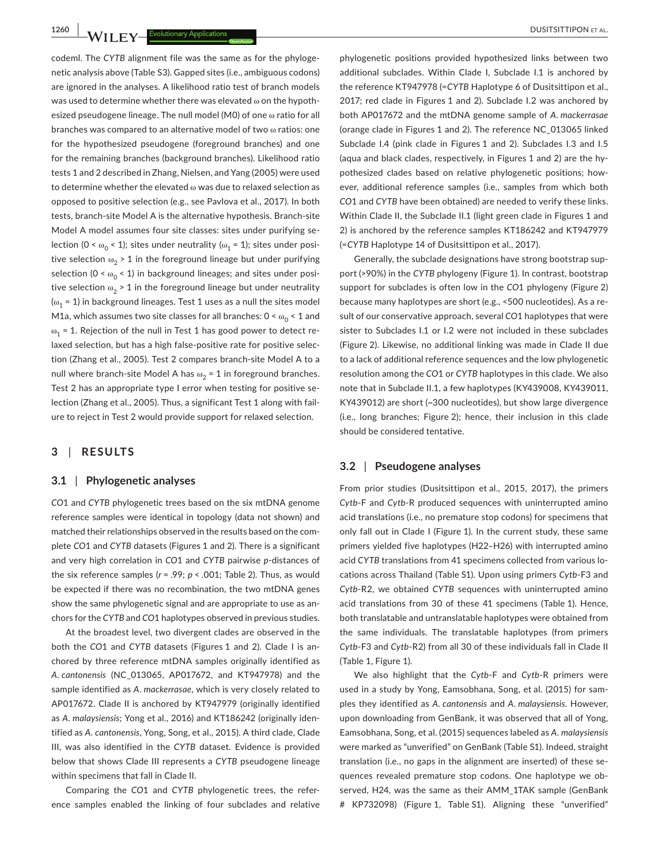codeml. The *CYTB* alignment file was the same as for the phylogenetic analysis above (Table S3). Gapped sites (i.e., ambiguous codons) are ignored in the analyses. A likelihood ratio test of branch models was used to determine whether there was elevated  $\omega$  on the hypothesized pseudogene lineage. The null model (M0) of one ω ratio for all branches was compared to an alternative model of two ω ratios: one for the hypothesized pseudogene (foreground branches) and one for the remaining branches (background branches). Likelihood ratio tests 1 and 2 described in Zhang, Nielsen, and Yang (2005) were used to determine whether the elevated ω was due to relaxed selection as opposed to positive selection (e.g., see Pavlova et al., 2017). In both tests, branch-site Model A is the alternative hypothesis. Branch-site Model A model assumes four site classes: sites under purifying selection (0 <  $\omega_0$  < 1); sites under neutrality ( $\omega_1$  = 1); sites under positive selection  $\omega_2$  > 1 in the foreground lineage but under purifying selection ( $0 < \omega_0 < 1$ ) in background lineages; and sites under positive selection  $\omega_2$  > 1 in the foreground lineage but under neutrality ( $\omega_1$  = 1) in background lineages. Test 1 uses as a null the sites model M1a, which assumes two site classes for all branches:  $0 \le \omega_0 \le 1$  and  $\omega_1$  = 1. Rejection of the null in Test 1 has good power to detect relaxed selection, but has a high false-positive rate for positive selection (Zhang et al., 2005). Test 2 compares branch-site Model A to a null where branch-site Model A has  $\omega_2 = 1$  in foreground branches. Test 2 has an appropriate type I error when testing for positive selection (Zhang et al., 2005). Thus, a significant Test 1 along with failure to reject in Test 2 would provide support for relaxed selection.

## **3** | **RESULTS**

#### **3.1** | **Phylogenetic analyses**

*CO*1 and *CYTB* phylogenetic trees based on the six mtDNA genome reference samples were identical in topology (data not shown) and matched their relationships observed in the results based on the complete *CO*1 and *CYTB* datasets (Figures 1 and 2). There is a significant and very high correlation in *CO*1 and *CYTB* pairwise *p*-distances of the six reference samples (*r* = .99; *p* < .001; Table 2). Thus, as would be expected if there was no recombination, the two mtDNA genes show the same phylogenetic signal and are appropriate to use as anchors for the *CYTB* and *CO*1 haplotypes observed in previous studies.

At the broadest level, two divergent clades are observed in the both the *CO*1 and *CYTB* datasets (Figures 1 and 2). Clade I is anchored by three reference mtDNA samples originally identified as *A. cantonensis* (NC\_013065, AP017672, and KT947978) and the sample identified as *A. mackerrasae*, which is very closely related to AP017672. Clade II is anchored by KT947979 (originally identified as *A. malaysiensis*; Yong et al., 2016) and KT186242 (originally identified as *A. cantonensis*, Yong, Song, et al., 2015). A third clade, Clade III, was also identified in the *CYTB* dataset. Evidence is provided below that shows Clade III represents a *CYTB* pseudogene lineage within specimens that fall in Clade II.

Comparing the *CO*1 and *CYTB* phylogenetic trees, the reference samples enabled the linking of four subclades and relative

phylogenetic positions provided hypothesized links between two additional subclades. Within Clade I, Subclade I.1 is anchored by the reference KT947978 (=*CYTB* Haplotype 6 of Dusitsittipon et al., 2017; red clade in Figures 1 and 2). Subclade I.2 was anchored by both AP017672 and the mtDNA genome sample of *A. mackerrasae* (orange clade in Figures 1 and 2). The reference NC\_013065 linked Subclade I.4 (pink clade in Figures 1 and 2). Subclades I.3 and I.5 (aqua and black clades, respectively, in Figures 1 and 2) are the hypothesized clades based on relative phylogenetic positions; however, additional reference samples (i.e., samples from which both *CO*1 and *CYTB* have been obtained) are needed to verify these links. Within Clade II, the Subclade II.1 (light green clade in Figures 1 and 2) is anchored by the reference samples KT186242 and KT947979 (=*CYTB* Haplotype 14 of Dusitsittipon et al., 2017).

Generally, the subclade designations have strong bootstrap support (>90%) in the *CYTB* phylogeny (Figure 1). In contrast, bootstrap support for subclades is often low in the *CO*1 phylogeny (Figure 2) because many haplotypes are short (e.g., <500 nucleotides). As a result of our conservative approach, several *CO*1 haplotypes that were sister to Subclades I.1 or I.2 were not included in these subclades (Figure 2). Likewise, no additional linking was made in Clade II due to a lack of additional reference sequences and the low phylogenetic resolution among the *CO*1 or *CYTB* haplotypes in this clade. We also note that in Subclade II.1, a few haplotypes (KY439008, KY439011, KY439012) are short (~300 nucleotides), but show large divergence (i.e., long branches; Figure 2); hence, their inclusion in this clade should be considered tentative.

#### **3.2** | **Pseudogene analyses**

From prior studies (Dusitsittipon et al., 2015, 2017), the primers *Cytb*-F and *Cytb*-R produced sequences with uninterrupted amino acid translations (i.e., no premature stop codons) for specimens that only fall out in Clade I (Figure 1). In the current study, these same primers yielded five haplotypes (H22–H26) with interrupted amino acid *CYTB* translations from 41 specimens collected from various locations across Thailand (Table S1). Upon using primers *Cytb*-F3 and *Cytb*-R2, we obtained *CYTB* sequences with uninterrupted amino acid translations from 30 of these 41 specimens (Table 1). Hence, both translatable and untranslatable haplotypes were obtained from the same individuals. The translatable haplotypes (from primers *Cytb*-F3 and *Cytb*-R2) from all 30 of these individuals fall in Clade II (Table 1, Figure 1).

We also highlight that the *Cytb*-F and *Cytb*-R primers were used in a study by Yong, Eamsobhana, Song, et al. (2015) for samples they identified as *A. cantonensis* and *A. malaysiensis*. However, upon downloading from GenBank, it was observed that all of Yong, Eamsobhana, Song, et al. (2015) sequences labeled as *A. malaysiensis* were marked as "unverified" on GenBank (Table S1). Indeed, straight translation (i.e., no gaps in the alignment are inserted) of these sequences revealed premature stop codons. One haplotype we observed, H24, was the same as their AMM\_1TAK sample (GenBank # KP732098) (Figure 1, Table S1). Aligning these "unverified"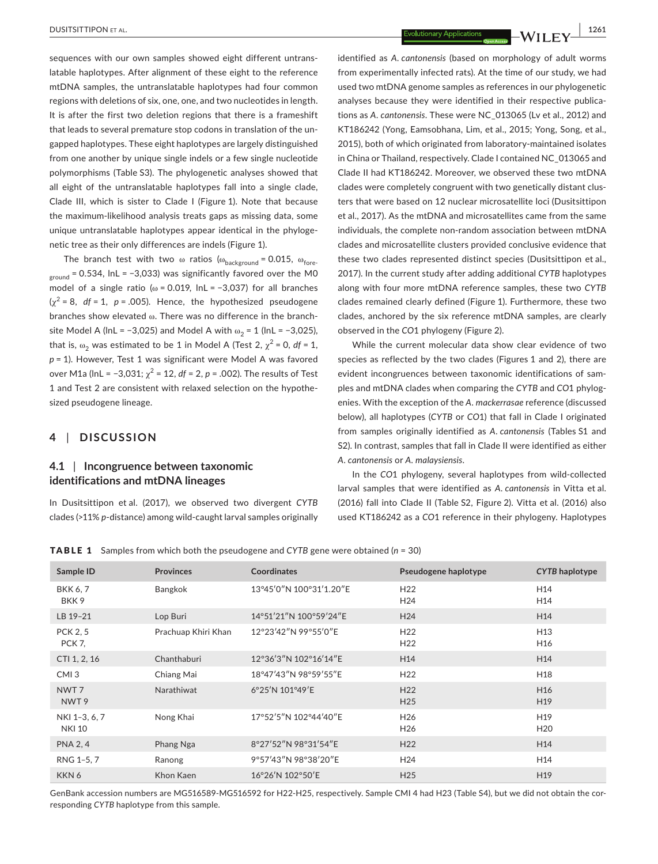sequences with our own samples showed eight different untranslatable haplotypes. After alignment of these eight to the reference mtDNA samples, the untranslatable haplotypes had four common regions with deletions of six, one, one, and two nucleotides in length. It is after the first two deletion regions that there is a frameshift that leads to several premature stop codons in translation of the ungapped haplotypes. These eight haplotypes are largely distinguished from one another by unique single indels or a few single nucleotide polymorphisms (Table S3). The phylogenetic analyses showed that all eight of the untranslatable haplotypes fall into a single clade, Clade III, which is sister to Clade I (Figure 1). Note that because the maximum-likelihood analysis treats gaps as missing data, some unique untranslatable haplotypes appear identical in the phylogenetic tree as their only differences are indels (Figure 1).

The branch test with two  $\omega$  ratios ( $\omega_{\text{background}} = 0.015$ ,  $\omega_{\text{fore}}$  $_{ground}$  = 0.534, lnL = -3,033) was significantly favored over the M0 model of a single ratio ( $\omega$  = 0.019, lnL = -3,037) for all branches  $(y^2 = 8, df = 1, p = .005)$ . Hence, the hypothesized pseudogene branches show elevated ω. There was no difference in the branchsite Model A (lnL = −3,025) and Model A with  $\omega_2$  = 1 (lnL = −3,025), that is,  $\omega_2$  was estimated to be 1 in Model A (Test 2,  $\chi^2$  = 0, *df* = 1, *p* = 1). However, Test 1 was significant were Model A was favored over M1a (lnL = −3,031; χ<sup>2</sup> = 12, *df* = 2, *p* = .002). The results of Test 1 and Test 2 are consistent with relaxed selection on the hypothesized pseudogene lineage.

# **4** | **DISCUSSION**

# **4.1** | **Incongruence between taxonomic identifications and mtDNA lineages**

In Dusitsittipon et al. (2017), we observed two divergent *CYTB* clades (>11% *p*-distance) among wild-caught larval samples originally

identified as *A. cantonensis* (based on morphology of adult worms from experimentally infected rats). At the time of our study, we had used two mtDNA genome samples as references in our phylogenetic analyses because they were identified in their respective publications as *A. cantonensis*. These were NC\_013065 (Lv et al., 2012) and KT186242 (Yong, Eamsobhana, Lim, et al., 2015; Yong, Song, et al., 2015), both of which originated from laboratory-maintained isolates in China or Thailand, respectively. Clade I contained NC\_013065 and Clade II had KT186242. Moreover, we observed these two mtDNA clades were completely congruent with two genetically distant clusters that were based on 12 nuclear microsatellite loci (Dusitsittipon et al., 2017). As the mtDNA and microsatellites came from the same individuals, the complete non-random association between mtDNA clades and microsatellite clusters provided conclusive evidence that these two clades represented distinct species (Dusitsittipon et al., 2017). In the current study after adding additional *CYTB* haplotypes along with four more mtDNA reference samples, these two *CYTB* clades remained clearly defined (Figure 1). Furthermore, these two clades, anchored by the six reference mtDNA samples, are clearly observed in the *CO*1 phylogeny (Figure 2).

While the current molecular data show clear evidence of two species as reflected by the two clades (Figures 1 and 2), there are evident incongruences between taxonomic identifications of samples and mtDNA clades when comparing the *CYTB* and *CO*1 phylogenies. With the exception of the *A. mackerrasae* reference (discussed below), all haplotypes (*CYTB* or *CO*1) that fall in Clade I originated from samples originally identified as *A. cantonensis* (Tables S1 and S2). In contrast, samples that fall in Clade II were identified as either *A. cantonensis* or *A. malaysiensis*.

In the *CO*1 phylogeny, several haplotypes from wild-collected larval samples that were identified as *A. cantonensis* in Vitta et al. (2016) fall into Clade II (Table S2, Figure 2). Vitta et al. (2016) also used KT186242 as a *CO*1 reference in their phylogeny. Haplotypes

TABLE 1 Samples from which both the pseudogene and *CYTB* gene were obtained (*n* = 30)

| Sample ID                            | <b>Provinces</b>    | Coordinates             | Pseudogene haplotype               | <b>CYTB</b> haplotype              |
|--------------------------------------|---------------------|-------------------------|------------------------------------|------------------------------------|
| <b>BKK 6, 7</b><br>BKK9              | Bangkok             | 13°45'0"N 100°31'1.20"E | H <sub>22</sub><br>H <sub>24</sub> | H <sub>14</sub><br>H <sub>14</sub> |
| LB 19-21                             | Lop Buri            | 14°51'21"N 100°59'24"E  | H <sub>24</sub>                    | H14                                |
| <b>PCK 2, 5</b><br><b>PCK 7.</b>     | Prachuap Khiri Khan | 12°23'42"N 99°55'0"E    | H <sub>22</sub><br>H <sub>22</sub> | H <sub>13</sub><br>H <sub>16</sub> |
| CTI 1, 2, 16                         | Chanthaburi         | 12°36'3"N 102°16'14"E   | H14                                | H14                                |
| CMI <sub>3</sub>                     | Chiang Mai          | 18°47'43"N 98°59'55"E   | H <sub>22</sub>                    | H <sub>18</sub>                    |
| NWT <sub>7</sub><br>NWT <sub>9</sub> | Narathiwat          | 6°25'N 101°49'E         | H <sub>22</sub><br>H <sub>25</sub> | H <sub>16</sub><br>H <sub>19</sub> |
| NKI 1-3, 6, 7<br><b>NKI 10</b>       | Nong Khai           | 17°52'5"N 102°44'40"E   | H <sub>26</sub><br>H <sub>26</sub> | H <sub>19</sub><br>H <sub>20</sub> |
| <b>PNA 2, 4</b>                      | Phang Nga           | 8°27'52"N 98°31'54"E    | H <sub>22</sub>                    | H14                                |
| RNG 1-5, 7                           | Ranong              | 9°57'43"N 98°38'20"E    | H <sub>24</sub>                    | H14                                |
| KKN <sub>6</sub>                     | Khon Kaen           | 16°26'N 102°50'E        | H <sub>25</sub>                    | H <sub>19</sub>                    |

GenBank accession numbers are MG516589-MG516592 for H22-H25, respectively. Sample CMI 4 had H23 (Table S4), but we did not obtain the corresponding *CYTB* haplotype from this sample.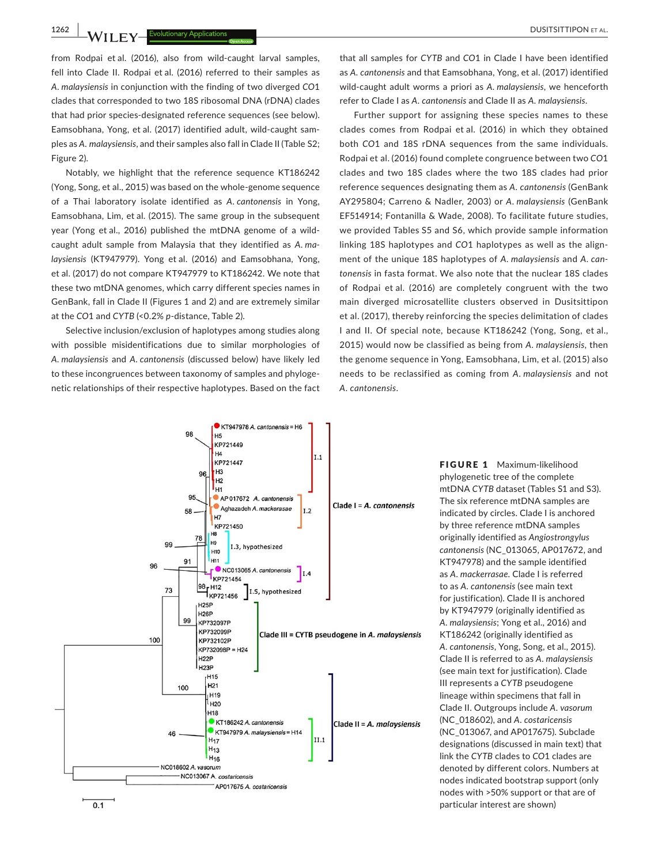**1262 | busitsittipon et al. a explored by Evolutionary Applications** 

from Rodpai et al. (2016), also from wild-caught larval samples, fell into Clade II. Rodpai et al. (2016) referred to their samples as *A. malaysiensis* in conjunction with the finding of two diverged *CO*1 clades that corresponded to two 18S ribosomal DNA (rDNA) clades that had prior species-designated reference sequences (see below). Eamsobhana, Yong, et al. (2017) identified adult, wild-caught samples as *A. malaysiensis*, and their samples also fall in Clade II (Table S2; Figure 2).

Notably, we highlight that the reference sequence KT186242 (Yong, Song, et al., 2015) was based on the whole-genome sequence of a Thai laboratory isolate identified as *A. cantonensis* in Yong, Eamsobhana, Lim, et al. (2015). The same group in the subsequent year (Yong et al., 2016) published the mtDNA genome of a wildcaught adult sample from Malaysia that they identified as *A. malaysiensis* (KT947979). Yong et al. (2016) and Eamsobhana, Yong, et al. (2017) do not compare KT947979 to KT186242. We note that these two mtDNA genomes, which carry different species names in GenBank, fall in Clade II (Figures 1 and 2) and are extremely similar at the *CO*1 and *CYTB* (<0.2% *p*-distance, Table 2).

Selective inclusion/exclusion of haplotypes among studies along with possible misidentifications due to similar morphologies of *A. malaysiensis* and *A. cantonensis* (discussed below) have likely led to these incongruences between taxonomy of samples and phylogenetic relationships of their respective haplotypes. Based on the fact

that all samples for *CYTB* and *CO*1 in Clade I have been identified as *A. cantonensis* and that Eamsobhana, Yong, et al. (2017) identified wild-caught adult worms a priori as *A. malaysiensis*, we henceforth refer to Clade I as *A. cantonensis* and Clade II as *A. malaysiensis*.

Further support for assigning these species names to these clades comes from Rodpai et al. (2016) in which they obtained both *CO*1 and 18S rDNA sequences from the same individuals. Rodpai et al. (2016) found complete congruence between two *CO*1 clades and two 18S clades where the two 18S clades had prior reference sequences designating them as *A. cantonensis* (GenBank AY295804; Carreno & Nadler, 2003) or *A. malaysiensis* (GenBank EF514914; Fontanilla & Wade, 2008). To facilitate future studies, we provided Tables S5 and S6, which provide sample information linking 18S haplotypes and *CO*1 haplotypes as well as the alignment of the unique 18S haplotypes of *A. malaysiensis* and *A. cantonensis* in fasta format. We also note that the nuclear 18S clades of Rodpai et al. (2016) are completely congruent with the two main diverged microsatellite clusters observed in Dusitsittipon et al. (2017), thereby reinforcing the species delimitation of clades I and II. Of special note, because KT186242 (Yong, Song, et al., 2015) would now be classified as being from *A. malaysiensis*, then the genome sequence in Yong, Eamsobhana, Lim, et al. (2015) also needs to be reclassified as coming from *A. malaysiensis* and not *A. cantonensis*.



FIGURE 1 Maximum-likelihood phylogenetic tree of the complete mtDNA *CYTB* dataset (Tables S1 and S3). The six reference mtDNA samples are indicated by circles. Clade I is anchored by three reference mtDNA samples originally identified as *Angiostrongylus cantonensis* (NC\_013065, AP017672, and KT947978) and the sample identified as *A. mackerrasae*. Clade I is referred to as *A. cantonensis* (see main text for justification). Clade II is anchored by KT947979 (originally identified as *A. malaysiensis*; Yong et al., 2016) and KT186242 (originally identified as *A. cantonensis*, Yong, Song, et al., 2015). Clade II is referred to as *A. malaysiensis* (see main text for justification). Clade III represents a *CYTB* pseudogene lineage within specimens that fall in Clade II. Outgroups include *A. vasorum* (NC\_018602), and *A. costaricensis* (NC\_013067, and AP017675). Subclade designations (discussed in main text) that link the *CYTB* clades to *CO*1 clades are denoted by different colors. Numbers at nodes indicated bootstrap support (only nodes with >50% support or that are of particular interest are shown)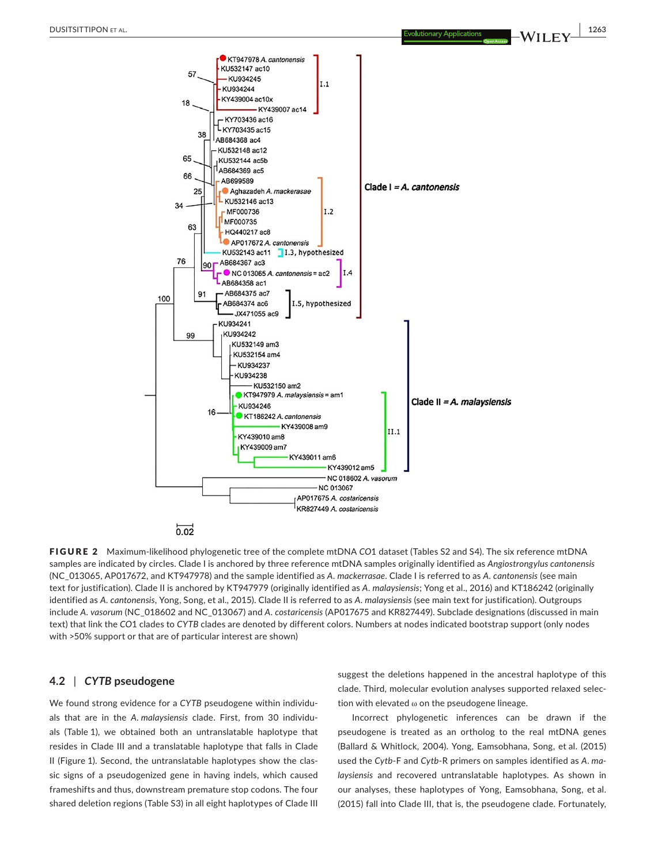

FIGURE 2 Maximum-likelihood phylogenetic tree of the complete mtDNA *CO*1 dataset (Tables S2 and S4). The six reference mtDNA samples are indicated by circles. Clade I is anchored by three reference mtDNA samples originally identified as *Angiostrongylus cantonensis* (NC\_013065, AP017672, and KT947978) and the sample identified as *A. mackerrasae*. Clade I is referred to as *A. cantonensis* (see main text for justification). Clade II is anchored by KT947979 (originally identified as *A. malaysiensis*; Yong et al., 2016) and KT186242 (originally identified as *A. cantonensis*, Yong, Song, et al., 2015). Clade II is referred to as *A. malaysiensis* (see main text for justification). Outgroups include *A. vasorum* (NC\_018602 and NC\_013067) and *A. costaricensis* (AP017675 and KR827449). Subclade designations (discussed in main text) that link the *CO*1 clades to *CYTB* clades are denoted by different colors. Numbers at nodes indicated bootstrap support (only nodes with >50% support or that are of particular interest are shown)

# **4.2** | *CYTB* **pseudogene**

We found strong evidence for a *CYTB* pseudogene within individuals that are in the *A. malaysiensis* clade. First, from 30 individuals (Table 1), we obtained both an untranslatable haplotype that resides in Clade III and a translatable haplotype that falls in Clade II (Figure 1). Second, the untranslatable haplotypes show the classic signs of a pseudogenized gene in having indels, which caused frameshifts and thus, downstream premature stop codons. The four shared deletion regions (Table S3) in all eight haplotypes of Clade III

suggest the deletions happened in the ancestral haplotype of this clade. Third, molecular evolution analyses supported relaxed selection with elevated ω on the pseudogene lineage.

Incorrect phylogenetic inferences can be drawn if the pseudogene is treated as an ortholog to the real mtDNA genes (Ballard & Whitlock, 2004). Yong, Eamsobhana, Song, et al. (2015) used the *Cytb*-F and *Cytb*-R primers on samples identified as *A. malaysiensis* and recovered untranslatable haplotypes. As shown in our analyses, these haplotypes of Yong, Eamsobhana, Song, et al. (2015) fall into Clade III, that is, the pseudogene clade. Fortunately,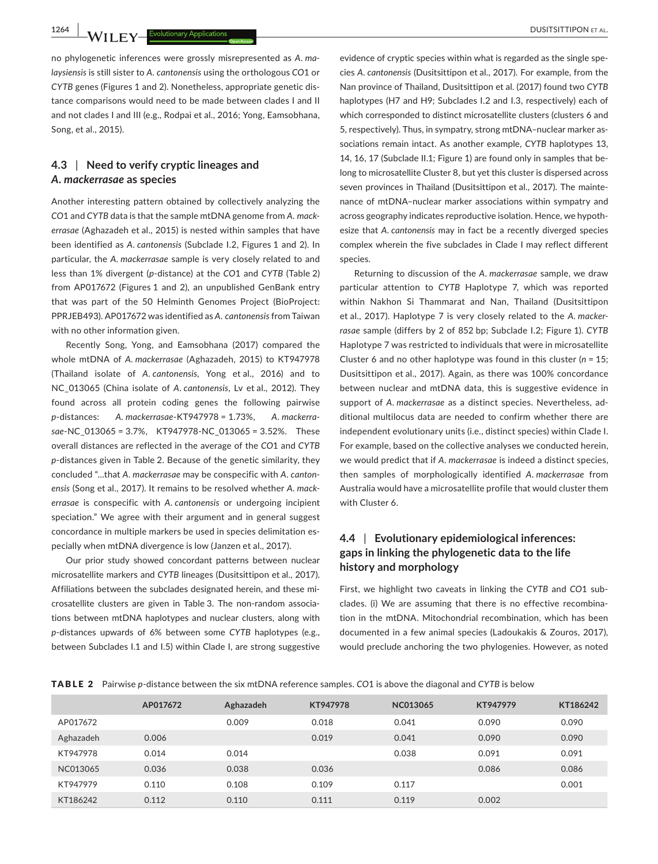**1264 |**  DUSITSITTIPON et al.

no phylogenetic inferences were grossly misrepresented as *A. malaysiensis* is still sister to *A. cantonensis* using the orthologous *CO*1 or *CYTB* genes (Figures 1 and 2). Nonetheless, appropriate genetic distance comparisons would need to be made between clades I and II and not clades I and III (e.g., Rodpai et al., 2016; Yong, Eamsobhana, Song, et al., 2015).

# **4.3** | **Need to verify cryptic lineages and**  *A. mackerrasae* **as species**

Another interesting pattern obtained by collectively analyzing the *CO*1 and *CYTB* data is that the sample mtDNA genome from *A. mackerrasae* (Aghazadeh et al., 2015) is nested within samples that have been identified as *A. cantonensis* (Subclade I.2, Figures 1 and 2). In particular, the *A. mackerrasae* sample is very closely related to and less than 1% divergent (*p*-distance) at the *CO*1 and *CYTB* (Table 2) from AP017672 (Figures 1 and 2), an unpublished GenBank entry that was part of the 50 Helminth Genomes Project (BioProject: PPRJEB493). AP017672 was identified as *A. cantonensis* from Taiwan with no other information given.

Recently Song, Yong, and Eamsobhana (2017) compared the whole mtDNA of *A. mackerrasae* (Aghazadeh, 2015) to KT947978 (Thailand isolate of *A. cantonensis*, Yong et al., 2016) and to NC\_013065 (China isolate of *A. cantonensis*, Lv et al., 2012). They found across all protein coding genes the following pairwise *p*-distances: *A. mackerrasae*-KT947978 = 1.73%, *A. mackerrasae*-NC\_013065 = 3.7%, KT947978-NC\_013065 = 3.52%. These overall distances are reflected in the average of the *CO*1 and *CYTB p*-distances given in Table 2. Because of the genetic similarity, they concluded "…that *A. mackerrasae* may be conspecific with *A. cantonensis* (Song et al., 2017). It remains to be resolved whether *A. mackerrasae* is conspecific with *A. cantonensis* or undergoing incipient speciation." We agree with their argument and in general suggest concordance in multiple markers be used in species delimitation especially when mtDNA divergence is low (Janzen et al., 2017).

Our prior study showed concordant patterns between nuclear microsatellite markers and *CYTB* lineages (Dusitsittipon et al., 2017). Affiliations between the subclades designated herein, and these microsatellite clusters are given in Table 3. The non-random associations between mtDNA haplotypes and nuclear clusters, along with *p*-distances upwards of 6% between some *CYTB* haplotypes (e.g., between Subclades I.1 and I.5) within Clade I, are strong suggestive

evidence of cryptic species within what is regarded as the single species *A. cantonensis* (Dusitsittipon et al., 2017). For example, from the Nan province of Thailand, Dusitsittipon et al. (2017) found two *CYTB* haplotypes (H7 and H9; Subclades I.2 and I.3, respectively) each of which corresponded to distinct microsatellite clusters (clusters 6 and 5, respectively). Thus, in sympatry, strong mtDNA–nuclear marker associations remain intact. As another example, *CYTB* haplotypes 13, 14, 16, 17 (Subclade II.1; Figure 1) are found only in samples that belong to microsatellite Cluster 8, but yet this cluster is dispersed across seven provinces in Thailand (Dusitsittipon et al., 2017). The maintenance of mtDNA–nuclear marker associations within sympatry and across geography indicates reproductive isolation. Hence, we hypothesize that *A. cantonensis* may in fact be a recently diverged species complex wherein the five subclades in Clade I may reflect different species.

Returning to discussion of the *A. mackerrasae* sample, we draw particular attention to *CYTB* Haplotype 7, which was reported within Nakhon Si Thammarat and Nan, Thailand (Dusitsittipon et al., 2017). Haplotype 7 is very closely related to the *A. mackerrasae* sample (differs by 2 of 852 bp; Subclade I.2; Figure 1). *CYTB* Haplotype 7 was restricted to individuals that were in microsatellite Cluster 6 and no other haplotype was found in this cluster (*n* = 15; Dusitsittipon et al., 2017). Again, as there was 100% concordance between nuclear and mtDNA data, this is suggestive evidence in support of *A. mackerrasae* as a distinct species. Nevertheless, additional multilocus data are needed to confirm whether there are independent evolutionary units (i.e., distinct species) within Clade I. For example, based on the collective analyses we conducted herein, we would predict that if *A. mackerrasae* is indeed a distinct species, then samples of morphologically identified *A. mackerrasae* from Australia would have a microsatellite profile that would cluster them with Cluster 6.

# **4.4** | **Evolutionary epidemiological inferences: gaps in linking the phylogenetic data to the life history and morphology**

First, we highlight two caveats in linking the *CYTB* and *CO*1 subclades. (i) We are assuming that there is no effective recombination in the mtDNA. Mitochondrial recombination, which has been documented in a few animal species (Ladoukakis & Zouros, 2017), would preclude anchoring the two phylogenies. However, as noted

|  |  |  | <b>TABLE 2</b> Pairwise p-distance between the six mtDNA reference samples. CO1 is above the diagonal and CYTB is below |  |  |  |  |  |  |  |  |  |  |  |  |  |  |  |  |  |  |  |
|--|--|--|-------------------------------------------------------------------------------------------------------------------------|--|--|--|--|--|--|--|--|--|--|--|--|--|--|--|--|--|--|--|
|--|--|--|-------------------------------------------------------------------------------------------------------------------------|--|--|--|--|--|--|--|--|--|--|--|--|--|--|--|--|--|--|--|

|           | AP017672 | Aghazadeh | KT947978 | NC013065 | KT947979 | KT186242 |
|-----------|----------|-----------|----------|----------|----------|----------|
| AP017672  |          | 0.009     | 0.018    | 0.041    | 0.090    | 0.090    |
| Aghazadeh | 0.006    |           | 0.019    | 0.041    | 0.090    | 0.090    |
| KT947978  | 0.014    | 0.014     |          | 0.038    | 0.091    | 0.091    |
| NC013065  | 0.036    | 0.038     | 0.036    |          | 0.086    | 0.086    |
| KT947979  | 0.110    | 0.108     | 0.109    | 0.117    |          | 0.001    |
| KT186242  | 0.112    | 0.110     | 0.111    | 0.119    | 0.002    |          |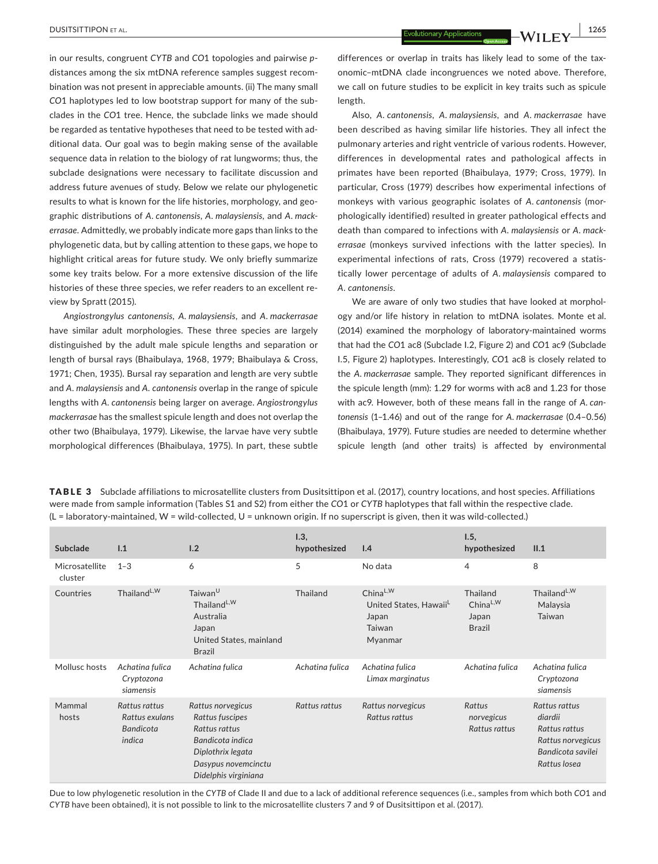in our results, congruent *CYTB* and *CO*1 topologies and pairwise *p*distances among the six mtDNA reference samples suggest recombination was not present in appreciable amounts. (ii) The many small *CO*1 haplotypes led to low bootstrap support for many of the subclades in the *CO*1 tree. Hence, the subclade links we made should be regarded as tentative hypotheses that need to be tested with additional data. Our goal was to begin making sense of the available sequence data in relation to the biology of rat lungworms; thus, the subclade designations were necessary to facilitate discussion and address future avenues of study. Below we relate our phylogenetic results to what is known for the life histories, morphology, and geographic distributions of *A. cantonensis*, *A. malaysiensis*, and *A. mackerrasae.* Admittedly, we probably indicate more gaps than links to the phylogenetic data, but by calling attention to these gaps, we hope to highlight critical areas for future study. We only briefly summarize some key traits below. For a more extensive discussion of the life histories of these three species, we refer readers to an excellent review by Spratt (2015).

*Angiostrongylus cantonensis*, *A. malaysiensis*, and *A. mackerrasae* have similar adult morphologies. These three species are largely distinguished by the adult male spicule lengths and separation or length of bursal rays (Bhaibulaya, 1968, 1979; Bhaibulaya & Cross, 1971; Chen, 1935). Bursal ray separation and length are very subtle and *A. malaysiensis* and *A. cantonensis* overlap in the range of spicule lengths with *A. cantonensis* being larger on average. *Angiostrongylus mackerrasae* has the smallest spicule length and does not overlap the other two (Bhaibulaya, 1979). Likewise, the larvae have very subtle morphological differences (Bhaibulaya, 1975). In part, these subtle

differences or overlap in traits has likely lead to some of the taxonomic–mtDNA clade incongruences we noted above. Therefore, we call on future studies to be explicit in key traits such as spicule length.

Also, *A. cantonensis*, *A. malaysiensis*, and *A. mackerrasae* have been described as having similar life histories. They all infect the pulmonary arteries and right ventricle of various rodents. However, differences in developmental rates and pathological affects in primates have been reported (Bhaibulaya, 1979; Cross, 1979). In particular, Cross (1979) describes how experimental infections of monkeys with various geographic isolates of *A. cantonensis* (morphologically identified) resulted in greater pathological effects and death than compared to infections with *A. malaysiensis* or *A. mackerrasae* (monkeys survived infections with the latter species). In experimental infections of rats, Cross (1979) recovered a statistically lower percentage of adults of *A. malaysiensis* compared to *A. cantonensis*.

We are aware of only two studies that have looked at morphology and/or life history in relation to mtDNA isolates. Monte et al. (2014) examined the morphology of laboratory-maintained worms that had the *CO*1 ac8 (Subclade I.2, Figure 2) and *CO*1 ac9 (Subclade I.5, Figure 2) haplotypes. Interestingly, *CO*1 ac8 is closely related to the *A. mackerrasae* sample. They reported significant differences in the spicule length (mm): 1.29 for worms with ac8 and 1.23 for those with ac9. However, both of these means fall in the range of *A. cantonensis* (1–1.46) and out of the range for *A. mackerrasae* (0.4–0.56) (Bhaibulaya, 1979). Future studies are needed to determine whether spicule length (and other traits) is affected by environmental

TABLE 3 Subclade affiliations to microsatellite clusters from Dusitsittipon et al. (2017), country locations, and host species. Affiliations were made from sample information (Tables S1 and S2) from either the *CO*1 or *CYTB* haplotypes that fall within the respective clade.  $(L =$  laboratory-maintained,  $W =$  wild-collected,  $U =$  unknown origin. If no superscript is given, then it was wild-collected.)

| Subclade                  | 1.1                                                           | 1.2                                                                                                                                           | 1.3,<br>hypothesized | 1.4                                                                               | 1.5,<br>hypothesized                                       | II.1                                                                                                |  |
|---------------------------|---------------------------------------------------------------|-----------------------------------------------------------------------------------------------------------------------------------------------|----------------------|-----------------------------------------------------------------------------------|------------------------------------------------------------|-----------------------------------------------------------------------------------------------------|--|
| Microsatellite<br>cluster | $1 - 3$                                                       | 6                                                                                                                                             | 5                    | No data                                                                           | 4                                                          | 8                                                                                                   |  |
| Countries                 | Thailand <sup>L,W</sup>                                       | Taiwan <sup>U</sup><br>Thailand <sup>L,W</sup><br>Australia<br>Japan<br>United States, mainland<br><b>Brazil</b>                              | Thailand             | $China^{L,W}$<br>United States, Hawaii <sup>L</sup><br>Japan<br>Taiwan<br>Myanmar | Thailand<br>China <sup>L,W</sup><br>Japan<br><b>Brazil</b> | Thailand <sup>L,W</sup><br>Malaysia<br>Taiwan                                                       |  |
| Mollusc hosts             | Achatina fulica<br>Cryptozona<br>siamensis                    | Achatina fulica                                                                                                                               | Achatina fulica      | Achatina fulica<br>Limax marginatus                                               | Achatina fulica                                            | Achatina fulica<br>Cryptozona<br>siamensis                                                          |  |
| Mammal<br>hosts           | Rattus rattus<br>Rattus exulans<br><b>Bandicota</b><br>indica | Rattus norvegicus<br>Rattus fuscipes<br>Rattus rattus<br>Bandicota indica<br>Diplothrix legata<br>Dasypus novemcinctu<br>Didelphis virginiana | Rattus rattus        | Rattus norvegicus<br>Rattus rattus                                                | Rattus<br>norvegicus<br>Rattus rattus                      | Rattus rattus<br>diardii<br>Rattus rattus<br>Rattus norvegicus<br>Bandicota savilei<br>Rattus Iosea |  |

Due to low phylogenetic resolution in the *CYTB* of Clade II and due to a lack of additional reference sequences (i.e., samples from which both *CO*1 and *CYTB* have been obtained), it is not possible to link to the microsatellite clusters 7 and 9 of Dusitsittipon et al. (2017).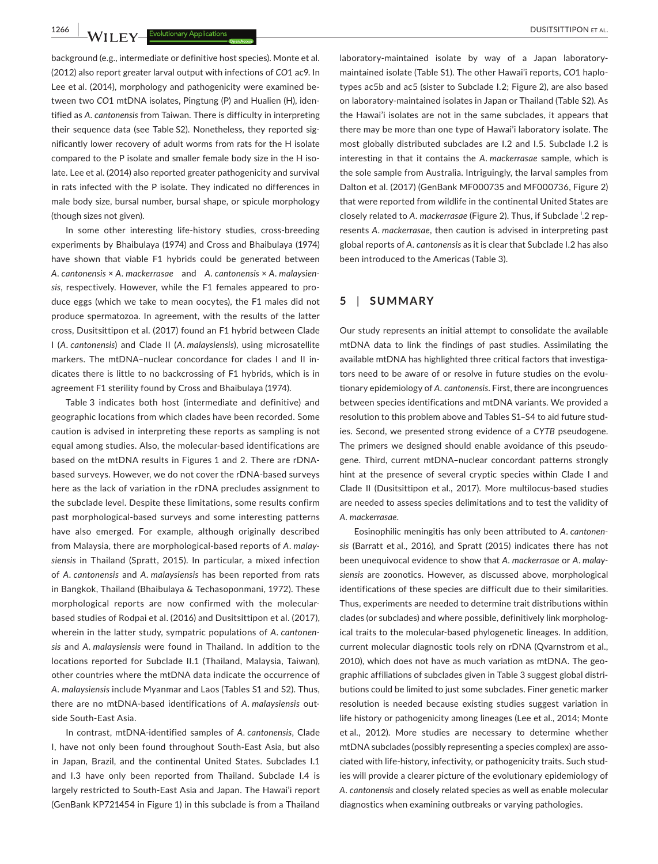**1266 | 17 A/ I I EV** Evolutionary Applications **and the contract of the CO**USITSITTIPON ET AL.

background (e.g., intermediate or definitive host species). Monte et al. (2012) also report greater larval output with infections of *CO*1 ac9. In Lee et al. (2014), morphology and pathogenicity were examined between two *CO*1 mtDNA isolates, Pingtung (P) and Hualien (H), identified as *A. cantonensis* from Taiwan. There is difficulty in interpreting their sequence data (see Table S2). Nonetheless, they reported significantly lower recovery of adult worms from rats for the H isolate compared to the P isolate and smaller female body size in the H isolate. Lee et al. (2014) also reported greater pathogenicity and survival in rats infected with the P isolate. They indicated no differences in male body size, bursal number, bursal shape, or spicule morphology (though sizes not given).

In some other interesting life-history studies, cross-breeding experiments by Bhaibulaya (1974) and Cross and Bhaibulaya (1974) have shown that viable F1 hybrids could be generated between *A. cantonensis* × *A. mackerrasae* and *A. cantonensis* × *A. malaysiensis*, respectively. However, while the F1 females appeared to produce eggs (which we take to mean oocytes), the F1 males did not produce spermatozoa. In agreement, with the results of the latter cross, Dusitsittipon et al. (2017) found an F1 hybrid between Clade I (*A. cantonensis*) and Clade II (*A. malaysiensis*), using microsatellite markers. The mtDNA–nuclear concordance for clades I and II indicates there is little to no backcrossing of F1 hybrids, which is in agreement F1 sterility found by Cross and Bhaibulaya (1974).

Table 3 indicates both host (intermediate and definitive) and geographic locations from which clades have been recorded. Some caution is advised in interpreting these reports as sampling is not equal among studies. Also, the molecular-based identifications are based on the mtDNA results in Figures 1 and 2. There are rDNAbased surveys. However, we do not cover the rDNA-based surveys here as the lack of variation in the rDNA precludes assignment to the subclade level. Despite these limitations, some results confirm past morphological-based surveys and some interesting patterns have also emerged. For example, although originally described from Malaysia, there are morphological-based reports of *A. malaysiensis* in Thailand (Spratt, 2015). In particular, a mixed infection of *A. cantonensis* and *A. malaysiensis* has been reported from rats in Bangkok, Thailand (Bhaibulaya & Techasoponmani, 1972). These morphological reports are now confirmed with the molecularbased studies of Rodpai et al. (2016) and Dusitsittipon et al. (2017), wherein in the latter study, sympatric populations of *A. cantonensis* and *A. malaysiensis* were found in Thailand. In addition to the locations reported for Subclade II.1 (Thailand, Malaysia, Taiwan), other countries where the mtDNA data indicate the occurrence of *A. malaysiensis* include Myanmar and Laos (Tables S1 and S2). Thus, there are no mtDNA-based identifications of *A. malaysiensis* outside South-East Asia.

In contrast, mtDNA-identified samples of *A. cantonensis*, Clade I, have not only been found throughout South-East Asia, but also in Japan, Brazil, and the continental United States. Subclades I.1 and I.3 have only been reported from Thailand. Subclade I.4 is largely restricted to South-East Asia and Japan. The Hawai'i report (GenBank KP721454 in Figure 1) in this subclade is from a Thailand

laboratory-maintained isolate by way of a Japan laboratorymaintained isolate (Table S1). The other Hawai'i reports, *CO*1 haplotypes ac5b and ac5 (sister to Subclade I.2; Figure 2), are also based on laboratory-maintained isolates in Japan or Thailand (Table S2). As the Hawai'i isolates are not in the same subclades, it appears that there may be more than one type of Hawai'i laboratory isolate. The most globally distributed subclades are I.2 and I.5. Subclade I.2 is interesting in that it contains the *A. mackerrasae* sample, which is the sole sample from Australia. Intriguingly, the larval samples from Dalton et al. (2017) (GenBank MF000735 and MF000736, Figure 2) that were reported from wildlife in the continental United States are closely related to A. *mackerrasae* (Figure 2). Thus, if Subclade <sup>'</sup>.2 represents *A. mackerrasae*, then caution is advised in interpreting past global reports of *A. cantonensis* as it is clear that Subclade I.2 has also been introduced to the Americas (Table 3).

## **5** | **SUMMARY**

Our study represents an initial attempt to consolidate the available mtDNA data to link the findings of past studies. Assimilating the available mtDNA has highlighted three critical factors that investigators need to be aware of or resolve in future studies on the evolutionary epidemiology of *A. cantonensis*. First, there are incongruences between species identifications and mtDNA variants. We provided a resolution to this problem above and Tables S1–S4 to aid future studies. Second, we presented strong evidence of a *CYTB* pseudogene. The primers we designed should enable avoidance of this pseudogene. Third, current mtDNA–nuclear concordant patterns strongly hint at the presence of several cryptic species within Clade I and Clade II (Dusitsittipon et al., 2017). More multilocus-based studies are needed to assess species delimitations and to test the validity of *A. mackerrasae*.

Eosinophilic meningitis has only been attributed to *A. cantonensis* (Barratt et al., 2016), and Spratt (2015) indicates there has not been unequivocal evidence to show that *A. mackerrasae* or *A. malaysiensis* are zoonotics. However, as discussed above, morphological identifications of these species are difficult due to their similarities. Thus, experiments are needed to determine trait distributions within clades (or subclades) and where possible, definitively link morphological traits to the molecular-based phylogenetic lineages. In addition, current molecular diagnostic tools rely on rDNA (Qvarnstrom et al., 2010), which does not have as much variation as mtDNA. The geographic affiliations of subclades given in Table 3 suggest global distributions could be limited to just some subclades. Finer genetic marker resolution is needed because existing studies suggest variation in life history or pathogenicity among lineages (Lee et al., 2014; Monte et al., 2012). More studies are necessary to determine whether mtDNA subclades (possibly representing a species complex) are associated with life-history, infectivity, or pathogenicity traits. Such studies will provide a clearer picture of the evolutionary epidemiology of *A. cantonensis* and closely related species as well as enable molecular diagnostics when examining outbreaks or varying pathologies.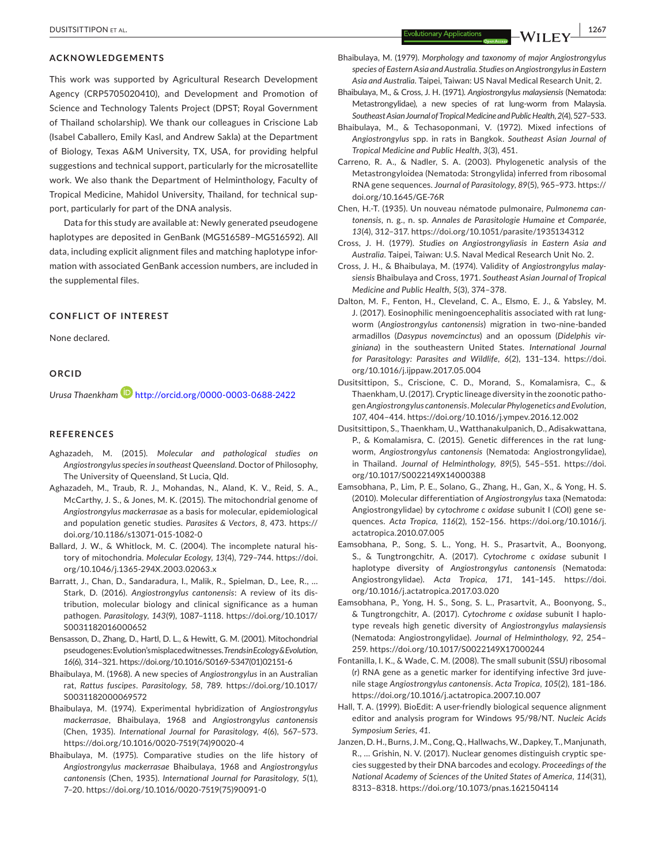#### **ACKNOWLEDGEMENTS**

This work was supported by Agricultural Research Development Agency (CRP5705020410), and Development and Promotion of Science and Technology Talents Project (DPST; Royal Government of Thailand scholarship). We thank our colleagues in Criscione Lab (Isabel Caballero, Emily Kasl, and Andrew Sakla) at the Department of Biology, Texas A&M University, TX, USA, for providing helpful suggestions and technical support, particularly for the microsatellite work. We also thank the Department of Helminthology, Faculty of Tropical Medicine, Mahidol University, Thailand, for technical support, particularly for part of the DNA analysis.

Data for this study are available at: Newly generated pseudogene haplotypes are deposited in GenBank (MG516589–MG516592). All data, including explicit alignment files and matching haplotype information with associated GenBank accession numbers, are included in the supplemental files.

### **CONFLICT OF INTEREST**

None declared.

#### **ORCID**

*Urusa Thaenkham* <http://orcid.org/0000-0003-0688-2422>

#### **REFERENCES**

- Aghazadeh, M. (2015). *Molecular and pathological studies on Angiostrongylus species in southeast Queensland*. Doctor of Philosophy, The University of Queensland, St Lucia, Qld.
- Aghazadeh, M., Traub, R. J., Mohandas, N., Aland, K. V., Reid, S. A., McCarthy, J. S., & Jones, M. K. (2015). The mitochondrial genome of *Angiostrongylus mackerrasae* as a basis for molecular, epidemiological and population genetic studies. *Parasites & Vectors*, *8*, 473. [https://](https://doi.org/10.1186/s13071-015-1082-0) [doi.org/10.1186/s13071-015-1082-0](https://doi.org/10.1186/s13071-015-1082-0)
- Ballard, J. W., & Whitlock, M. C. (2004). The incomplete natural history of mitochondria. *Molecular Ecology*, *13*(4), 729–744. [https://doi.](https://doi.org/10.1046/j.1365-294X.2003.02063.x) [org/10.1046/j.1365-294X.2003.02063.x](https://doi.org/10.1046/j.1365-294X.2003.02063.x)
- Barratt, J., Chan, D., Sandaradura, I., Malik, R., Spielman, D., Lee, R., … Stark, D. (2016). *Angiostrongylus cantonensis*: A review of its distribution, molecular biology and clinical significance as a human pathogen. *Parasitology*, *143*(9), 1087–1118. [https://doi.org/10.1017/](https://doi.org/10.1017/S0031182016000652) [S0031182016000652](https://doi.org/10.1017/S0031182016000652)
- Bensasson, D., Zhang, D., Hartl, D. L., & Hewitt, G. M. (2001). Mitochondrial pseudogenes:Evolution'smisplacedwitnesses.*Trends in Ecology & Evolution*, *16*(6), 314–321. [https://doi.org/10.1016/S0169-5347\(01\)02151-6](https://doi.org/10.1016/S0169-5347(01)02151-6)
- Bhaibulaya, M. (1968). A new species of *Angiostrongylus* in an Australian rat, *Rattus fuscipes*. *Parasitology*, *58*, 789. [https://doi.org/10.1017/](https://doi.org/10.1017/S0031182000069572) [S0031182000069572](https://doi.org/10.1017/S0031182000069572)
- Bhaibulaya, M. (1974). Experimental hybridization of *Angiostrongylus mackerrasae*, Bhaibulaya, 1968 and *Angiostrongylus cantonensis* (Chen, 1935). *International Journal for Parasitology*, *4*(6), 567–573. [https://doi.org/10.1016/0020-7519\(74\)90020-4](https://doi.org/10.1016/0020-7519(74)90020-4)
- Bhaibulaya, M. (1975). Comparative studies on the life history of *Angiostrongylus mackerrasae* Bhaibulaya, 1968 and *Angiostrongylus cantonensis* (Chen, 1935). *International Journal for Parasitology*, *5*(1), 7–20. [https://doi.org/10.1016/0020-7519\(75\)90091-0](https://doi.org/10.1016/0020-7519(75)90091-0)
- Bhaibulaya, M. (1979). *Morphology and taxonomy of major Angiostrongylus species of Eastern Asia and Australia. Studies on Angiostrongylus in Eastern Asia and Australia*. Taipei, Taiwan: US Naval Medical Research Unit, 2.
- Bhaibulaya, M., & Cross, J. H. (1971). *Angiostrongylus malaysiensis* (Nematoda: Metastrongylidae), a new species of rat lung-worm from Malaysia. *Southeast Asian Journal of Tropical Medicine and Public Health*,*2*(4),527–533.
- Bhaibulaya, M., & Techasoponmani, V. (1972). Mixed infections of *Angiostrongylus* spp. in rats in Bangkok. *Southeast Asian Journal of Tropical Medicine and Public Health*, *3*(3), 451.
- Carreno, R. A., & Nadler, S. A. (2003). Phylogenetic analysis of the Metastrongyloidea (Nematoda: Strongylida) inferred from ribosomal RNA gene sequences. *Journal of Parasitology*, *89*(5), 965–973. [https://](https://doi.org/10.1645/GE-76R) [doi.org/10.1645/GE-76R](https://doi.org/10.1645/GE-76R)
- Chen, H.-T. (1935). Un nouveau nématode pulmonaire, *Pulmonema cantonensis*, n. g., n. sp. *Annales de Parasitologie Humaine et Comparée*, *13*(4), 312–317. <https://doi.org/10.1051/parasite/1935134312>
- Cross, J. H. (1979). *Studies on Angiostrongyliasis in Eastern Asia and Australia*. Taipei, Taiwan: U.S. Naval Medical Research Unit No. 2.
- Cross, J. H., & Bhaibulaya, M. (1974). Validity of *Angiostrongylus malaysiensis* Bhaibulaya and Cross, 1971. *Southeast Asian Journal of Tropical Medicine and Public Health*, *5*(3), 374–378.
- Dalton, M. F., Fenton, H., Cleveland, C. A., Elsmo, E. J., & Yabsley, M. J. (2017). Eosinophilic meningoencephalitis associated with rat lungworm (*Angiostrongylus cantonensis*) migration in two-nine-banded armadillos (*Dasypus novemcinctus*) and an opossum (*Didelphis virginiana*) in the southeastern United States. *International Journal for Parasitology: Parasites and Wildlife*, *6*(2), 131–134. [https://doi.](https://doi.org/10.1016/j.ijppaw.2017.05.004) [org/10.1016/j.ijppaw.2017.05.004](https://doi.org/10.1016/j.ijppaw.2017.05.004)
- Dusitsittipon, S., Criscione, C. D., Morand, S., Komalamisra, C., & Thaenkham, U. (2017).Cryptic lineage diversity in the zoonotic pathogen*Angiostrongylus cantonensis*. *Molecular Phylogenetics and Evolution*, *107*, 404–414. <https://doi.org/10.1016/j.ympev.2016.12.002>
- Dusitsittipon, S., Thaenkham, U., Watthanakulpanich, D., Adisakwattana, P., & Komalamisra, C. (2015). Genetic differences in the rat lungworm, *Angiostrongylus cantonensis* (Nematoda: Angiostrongylidae), in Thailand. *Journal of Helminthology*, *89*(5), 545–551. [https://doi.](https://doi.org/10.1017/S0022149X14000388) [org/10.1017/S0022149X14000388](https://doi.org/10.1017/S0022149X14000388)
- Eamsobhana, P., Lim, P. E., Solano, G., Zhang, H., Gan, X., & Yong, H. S. (2010). Molecular differentiation of *Angiostrongylus* taxa (Nematoda: Angiostrongylidae) by *cytochrome c oxidase* subunit I (*CO*I) gene sequences. *Acta Tropica*, *116*(2), 152–156. [https://doi.org/10.1016/j.](https://doi.org/10.1016/j.actatropica.2010.07.005) [actatropica.2010.07.005](https://doi.org/10.1016/j.actatropica.2010.07.005)
- Eamsobhana, P., Song, S. L., Yong, H. S., Prasartvit, A., Boonyong, S., & Tungtrongchitr, A. (2017). *Cytochrome c oxidase* subunit I haplotype diversity of *Angiostrongylus cantonensis* (Nematoda: Angiostrongylidae). *Acta Tropica*, *171*, 141–145. [https://doi.](https://doi.org/10.1016/j.actatropica.2017.03.020) [org/10.1016/j.actatropica.2017.03.020](https://doi.org/10.1016/j.actatropica.2017.03.020)
- Eamsobhana, P., Yong, H. S., Song, S. L., Prasartvit, A., Boonyong, S., & Tungtrongchitr, A. (2017). *Cytochrome c oxidase* subunit I haplotype reveals high genetic diversity of *Angiostrongylus malaysiensis* (Nematoda: Angiostrongylidae). *Journal of Helminthology*, *92*, 254– 259. <https://doi.org/10.1017/S0022149X17000244>
- Fontanilla, I. K., & Wade, C. M. (2008). The small subunit (SSU) ribosomal (r) RNA gene as a genetic marker for identifying infective 3rd juvenile stage *Angiostrongylus cantonensis*. *Acta Tropica*, *105*(2), 181–186. <https://doi.org/10.1016/j.actatropica.2007.10.007>
- Hall, T. A. (1999). BioEdit: A user-friendly biological sequence alignment editor and analysis program for Windows 95/98/NT. *Nucleic Acids Symposium Series, 41*.
- Janzen, D. H., Burns, J. M., Cong, Q., Hallwachs, W., Dapkey, T., Manjunath, R., … Grishin, N. V. (2017). Nuclear genomes distinguish cryptic species suggested by their DNA barcodes and ecology. *Proceedings of the National Academy of Sciences of the United States of America*, *114*(31), 8313–8318. <https://doi.org/10.1073/pnas.1621504114>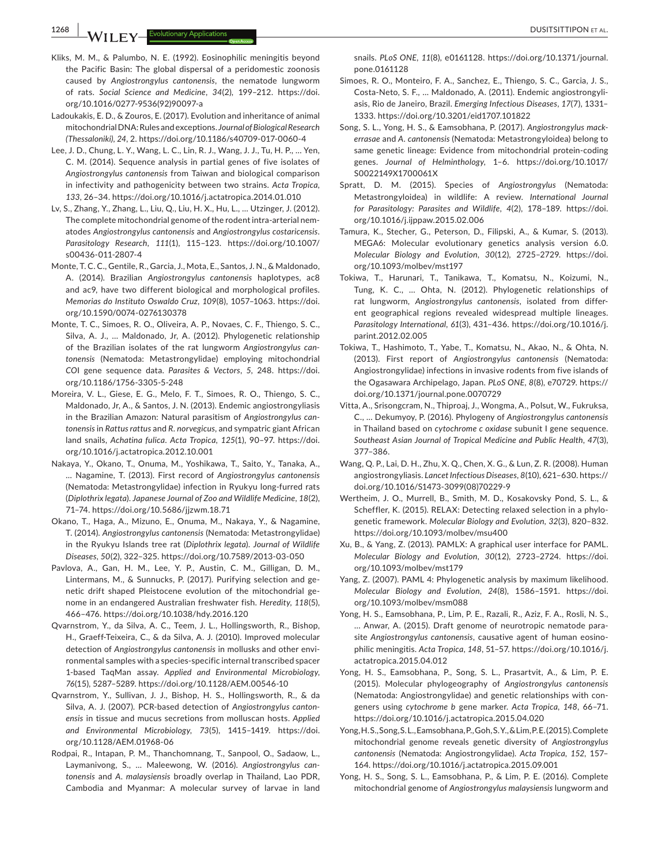**1268 | busitsittipon et al. Evolutionary Applications busitsittipon et al. busitsittipon et al.** 

- Kliks, M. M., & Palumbo, N. E. (1992). Eosinophilic meningitis beyond the Pacific Basin: The global dispersal of a peridomestic zoonosis caused by *Angiostrongylus cantonensis*, the nematode lungworm of rats. *Social Science and Medicine*, *34*(2), 199–212. [https://doi.](https://doi.org/10.1016/0277-9536(92)90097-a) [org/10.1016/0277-9536\(92\)90097-a](https://doi.org/10.1016/0277-9536(92)90097-a)
- Ladoukakis, E. D., & Zouros, E. (2017). Evolution and inheritance of animal mitochondrialDNA:Rules andexceptions. *Journal of Biological Research (Thessaloniki)*, *24*, 2. <https://doi.org/10.1186/s40709-017-0060-4>
- Lee, J. D., Chung, L. Y., Wang, L. C., Lin, R. J., Wang, J. J., Tu, H. P., … Yen, C. M. (2014). Sequence analysis in partial genes of five isolates of *Angiostrongylus cantonensis* from Taiwan and biological comparison in infectivity and pathogenicity between two strains. *Acta Tropica*, *133*, 26–34. <https://doi.org/10.1016/j.actatropica.2014.01.010>
- Lv, S., Zhang, Y., Zhang, L., Liu, Q., Liu, H. X., Hu, L., … Utzinger, J. (2012). The complete mitochondrial genome of the rodent intra-arterial nematodes *Angiostrongylus cantonensis* and *Angiostrongylus costaricensis*. *Parasitology Research*, *111*(1), 115–123. [https://doi.org/10.1007/](https://doi.org/10.1007/s00436-011-2807-4) [s00436-011-2807-4](https://doi.org/10.1007/s00436-011-2807-4)
- Monte, T. C. C., Gentile, R., Garcia, J., Mota, E., Santos, J. N., & Maldonado, A. (2014). Brazilian *Angiostrongylus cantonensis* haplotypes, ac8 and ac9, have two different biological and morphological profiles. *Memorias do Instituto Oswaldo Cruz*, *109*(8), 1057–1063. [https://doi.](https://doi.org/10.1590/0074-0276130378) [org/10.1590/0074-0276130378](https://doi.org/10.1590/0074-0276130378)
- Monte, T. C., Simoes, R. O., Oliveira, A. P., Novaes, C. F., Thiengo, S. C., Silva, A. J., … Maldonado, Jr, A. (2012). Phylogenetic relationship of the Brazilian isolates of the rat lungworm *Angiostrongylus cantonensis* (Nematoda: Metastrongylidae) employing mitochondrial *CO*I gene sequence data. *Parasites & Vectors*, *5*, 248. [https://doi.](https://doi.org/10.1186/1756-3305-5-248) [org/10.1186/1756-3305-5-248](https://doi.org/10.1186/1756-3305-5-248)
- Moreira, V. L., Giese, E. G., Melo, F. T., Simoes, R. O., Thiengo, S. C., Maldonado, Jr, A., & Santos, J. N. (2013). Endemic angiostrongyliasis in the Brazilian Amazon: Natural parasitism of *Angiostrongylus cantonensis* in *Rattus rattus* and *R. norvegicus*, and sympatric giant African land snails, *Achatina fulica*. *Acta Tropica*, *125*(1), 90–97. [https://doi.](https://doi.org/10.1016/j.actatropica.2012.10.001) [org/10.1016/j.actatropica.2012.10.001](https://doi.org/10.1016/j.actatropica.2012.10.001)
- Nakaya, Y., Okano, T., Onuma, M., Yoshikawa, T., Saito, Y., Tanaka, A., … Nagamine, T. (2013). First record of *Angiostrongylus cantonensis* (Nematoda: Metastrongylidae) infection in Ryukyu long-furred rats (*Diplothrix legata*). *Japanese Journal of Zoo and Wildlife Medicine*, *18*(2), 71–74. <https://doi.org/10.5686/jjzwm.18.71>
- Okano, T., Haga, A., Mizuno, E., Onuma, M., Nakaya, Y., & Nagamine, T. (2014). *Angiostrongylus cantonensis* (Nematoda: Metastrongylidae) in the Ryukyu Islands tree rat (*Diplothrix legata*). *Journal of Wildlife Diseases*, *50*(2), 322–325. <https://doi.org/10.7589/2013-03-050>
- Pavlova, A., Gan, H. M., Lee, Y. P., Austin, C. M., Gilligan, D. M., Lintermans, M., & Sunnucks, P. (2017). Purifying selection and genetic drift shaped Pleistocene evolution of the mitochondrial genome in an endangered Australian freshwater fish. *Heredity*, *118*(5), 466–476. <https://doi.org/10.1038/hdy.2016.120>
- Qvarnstrom, Y., da Silva, A. C., Teem, J. L., Hollingsworth, R., Bishop, H., Graeff-Teixeira, C., & da Silva, A. J. (2010). Improved molecular detection of *Angiostrongylus cantonensis* in mollusks and other environmental samples with a species-specific internal transcribed spacer 1-based TaqMan assay. *Applied and Environmental Microbiology*, *76*(15), 5287–5289. <https://doi.org/10.1128/AEM.00546-10>
- Qvarnstrom, Y., Sullivan, J. J., Bishop, H. S., Hollingsworth, R., & da Silva, A. J. (2007). PCR-based detection of *Angiostrongylus cantonensis* in tissue and mucus secretions from molluscan hosts. *Applied and Environmental Microbiology*, *73*(5), 1415–1419. [https://doi.](https://doi.org/10.1128/AEM.01968-06) [org/10.1128/AEM.01968-06](https://doi.org/10.1128/AEM.01968-06)
- Rodpai, R., Intapan, P. M., Thanchomnang, T., Sanpool, O., Sadaow, L., Laymanivong, S., … Maleewong, W. (2016). *Angiostrongylus cantonensis* and *A. malaysiensis* broadly overlap in Thailand, Lao PDR, Cambodia and Myanmar: A molecular survey of larvae in land

snails. *PLoS ONE*, *11*(8), e0161128. [https://doi.org/10.1371/journal.](https://doi.org/10.1371/journal.pone.0161128) [pone.0161128](https://doi.org/10.1371/journal.pone.0161128)

- Simoes, R. O., Monteiro, F. A., Sanchez, E., Thiengo, S. C., Garcia, J. S., Costa-Neto, S. F., … Maldonado, A. (2011). Endemic angiostrongyliasis, Rio de Janeiro, Brazil. *Emerging Infectious Diseases*, *17*(7), 1331– 1333. <https://doi.org/10.3201/eid1707.101822>
- Song, S. L., Yong, H. S., & Eamsobhana, P. (2017). *Angiostrongylus mackerrasae* and *A. cantonensis* (Nematoda: Metastrongyloidea) belong to same genetic lineage: Evidence from mitochondrial protein-coding genes. *Journal of Helminthology*, 1–6. [https://doi.org/10.1017/](https://doi.org/10.1017/S0022149X1700061X) [S0022149X1700061X](https://doi.org/10.1017/S0022149X1700061X)
- Spratt, D. M. (2015). Species of *Angiostrongylus* (Nematoda: Metastrongyloidea) in wildlife: A review. *International Journal for Parasitology: Parasites and Wildlife*, *4*(2), 178–189. [https://doi.](https://doi.org/10.1016/j.ijppaw.2015.02.006) [org/10.1016/j.ijppaw.2015.02.006](https://doi.org/10.1016/j.ijppaw.2015.02.006)
- Tamura, K., Stecher, G., Peterson, D., Filipski, A., & Kumar, S. (2013). MEGA6: Molecular evolutionary genetics analysis version 6.0. *Molecular Biology and Evolution*, *30*(12), 2725–2729. [https://doi.](https://doi.org/10.1093/molbev/mst197) [org/10.1093/molbev/mst197](https://doi.org/10.1093/molbev/mst197)
- Tokiwa, T., Harunari, T., Tanikawa, T., Komatsu, N., Koizumi, N., Tung, K. C., … Ohta, N. (2012). Phylogenetic relationships of rat lungworm, *Angiostrongylus cantonensis*, isolated from different geographical regions revealed widespread multiple lineages. *Parasitology International*, *61*(3), 431–436. [https://doi.org/10.1016/j.](https://doi.org/10.1016/j.parint.2012.02.005) [parint.2012.02.005](https://doi.org/10.1016/j.parint.2012.02.005)
- Tokiwa, T., Hashimoto, T., Yabe, T., Komatsu, N., Akao, N., & Ohta, N. (2013). First report of *Angiostrongylus cantonensis* (Nematoda: Angiostrongylidae) infections in invasive rodents from five islands of the Ogasawara Archipelago, Japan. *PLoS ONE*, *8*(8), e70729. [https://](https://doi.org/10.1371/journal.pone.0070729) [doi.org/10.1371/journal.pone.0070729](https://doi.org/10.1371/journal.pone.0070729)
- Vitta, A., Srisongcram, N., Thiproaj, J., Wongma, A., Polsut, W., Fukruksa, C., … Dekumyoy, P. (2016). Phylogeny of *Angiostrongylus cantonensis* in Thailand based on *cytochrome c oxidase* subunit I gene sequence. *Southeast Asian Journal of Tropical Medicine and Public Health*, *47*(3), 377–386.
- Wang, Q. P., Lai, D. H., Zhu, X. Q., Chen, X. G., & Lun, Z. R. (2008). Human angiostrongyliasis. *Lancet Infectious Diseases*, *8*(10), 621–630. [https://](https://doi.org/10.1016/S1473-3099(08)70229-9) [doi.org/10.1016/S1473-3099\(08\)70229-9](https://doi.org/10.1016/S1473-3099(08)70229-9)
- Wertheim, J. O., Murrell, B., Smith, M. D., Kosakovsky Pond, S. L., & Scheffler, K. (2015). RELAX: Detecting relaxed selection in a phylogenetic framework. *Molecular Biology and Evolution*, *32*(3), 820–832. <https://doi.org/10.1093/molbev/msu400>
- Xu, B., & Yang, Z. (2013). PAMLX: A graphical user interface for PAML. *Molecular Biology and Evolution*, *30*(12), 2723–2724. [https://doi.](https://doi.org/10.1093/molbev/mst179) [org/10.1093/molbev/mst179](https://doi.org/10.1093/molbev/mst179)
- Yang, Z. (2007). PAML 4: Phylogenetic analysis by maximum likelihood. *Molecular Biology and Evolution*, *24*(8), 1586–1591. [https://doi.](https://doi.org/10.1093/molbev/msm088) [org/10.1093/molbev/msm088](https://doi.org/10.1093/molbev/msm088)
- Yong, H. S., Eamsobhana, P., Lim, P. E., Razali, R., Aziz, F. A., Rosli, N. S., … Anwar, A. (2015). Draft genome of neurotropic nematode parasite *Angiostrongylus cantonensis*, causative agent of human eosinophilic meningitis. *Acta Tropica*, *148*, 51–57. [https://doi.org/10.1016/j.](https://doi.org/10.1016/j.actatropica.2015.04.012) [actatropica.2015.04.012](https://doi.org/10.1016/j.actatropica.2015.04.012)
- Yong, H. S., Eamsobhana, P., Song, S. L., Prasartvit, A., & Lim, P. E. (2015). Molecular phylogeography of *Angiostrongylus cantonensis* (Nematoda: Angiostrongylidae) and genetic relationships with congeners using *cytochrome b* gene marker. *Acta Tropica*, *148*, 66–71. <https://doi.org/10.1016/j.actatropica.2015.04.020>
- Yong,H.S.,Song,S.L.,Eamsobhana,P.,Goh,S.Y.,&Lim,P.E.(2015).Complete mitochondrial genome reveals genetic diversity of *Angiostrongylus cantonensis* (Nematoda: Angiostrongylidae). *Acta Tropica*, *152*, 157– 164. <https://doi.org/10.1016/j.actatropica.2015.09.001>
- Yong, H. S., Song, S. L., Eamsobhana, P., & Lim, P. E. (2016). Complete mitochondrial genome of *Angiostrongylus malaysiensis* lungworm and